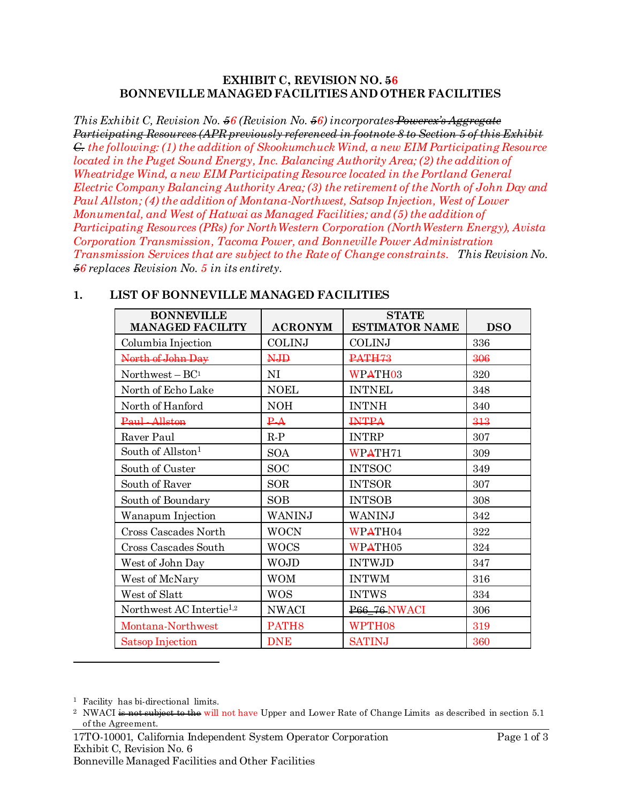#### **EXHIBIT C, REVISION NO. 56 BONNEVILLE MANAGED FACILITIES AND OTHER FACILITIES**

*This Exhibit C, Revision No. 56 (Revision No. 56) incorporates Powerex's Aggregate Participating Resources (APR previously referenced in footnote 8 to Section 5 of this Exhibit C. the following: (1) the addition of Skookumchuck Wind, a new EIM Participating Resource located in the Puget Sound Energy, Inc. Balancing Authority Area; (2) the addition of Wheatridge Wind, a new EIM Participating Resource located in the Portland General Electric Company Balancing Authority Area; (3) the retirement of the North of John Day and Paul Allston; (4) the addition of Montana-Northwest, Satsop Injection, West of Lower Monumental, and West of Hatwai as Managed Facilities; and (5) the addition of Participating Resources (PRs) for NorthWestern Corporation (NorthWestern Energy), Avista Corporation Transmission, Tacoma Power, and Bonneville Power Administration Transmission Services that are subject to the Rate of Change constraints. This Revision No. 56 replaces Revision No. 5 in its entirety.*

<span id="page-0-0"></span>

| <b>BONNEVILLE</b><br><b>MANAGED FACILITY</b> | <b>ACRONYM</b>    | <b>STATE</b><br><b>ESTIMATOR NAME</b> | <b>DSO</b> |
|----------------------------------------------|-------------------|---------------------------------------|------------|
| Columbia Injection                           | <b>COLINJ</b>     | <b>COLINJ</b>                         | 336        |
| North of John Day                            | <b>NJD</b>        | PATH <sub>73</sub>                    | 306        |
| Northwest $- BC1$                            | NI                | WPATH <sub>03</sub>                   | 320        |
| North of Echo Lake                           | <b>NOEL</b>       | <b>INTNEL</b>                         | 348        |
| North of Hanford                             | <b>NOH</b>        | <b>INTNH</b>                          | 340        |
| Paul-Allston                                 | $\overline{PA}$   | <b>INTPA</b>                          | 313        |
| Raver Paul                                   | $R-P$             | <b>INTRP</b>                          | 307        |
| South of Allston <sup>1</sup>                | <b>SOA</b>        | WPATH71                               | 309        |
| South of Custer                              | <b>SOC</b>        | <b>INTSOC</b>                         | 349        |
| South of Raver                               | <b>SOR</b>        | <b>INTSOR</b>                         | 307        |
| South of Boundary                            | <b>SOB</b>        | <b>INTSOB</b>                         | 308        |
| Wanapum Injection                            | WANINJ            | WANINJ                                | 342        |
| Cross Cascades North                         | <b>WOCN</b>       | WPATH04                               | 322        |
| Cross Cascades South                         | <b>WOCS</b>       | WPATH05                               | 324        |
| West of John Day                             | <b>WOJD</b>       | <b>INTWJD</b>                         | 347        |
| West of McNary                               | <b>WOM</b>        | <b>INTWM</b>                          | 316        |
| West of Slatt                                | <b>WOS</b>        | <b>INTWS</b>                          | 334        |
| Northwest AC Intertie <sup>1,2</sup>         | <b>NWACI</b>      | <b>P66_76 NWACI</b>                   | 306        |
| Montana-Northwest                            | PATH <sub>8</sub> | WPTH08                                | 319        |
| Satsop Injection                             | <b>DNE</b>        | <b>SATINJ</b>                         | 360        |

### **1. LIST OF BONNEVILLE MANAGED FACILITIES**

l

<sup>&</sup>lt;sup>1</sup> Facility has bi-directional limits.

<sup>&</sup>lt;sup>2</sup> NWACI is not subject to the will not have Upper and Lower Rate of Change Limits as described in section 5.1 of the Agreement.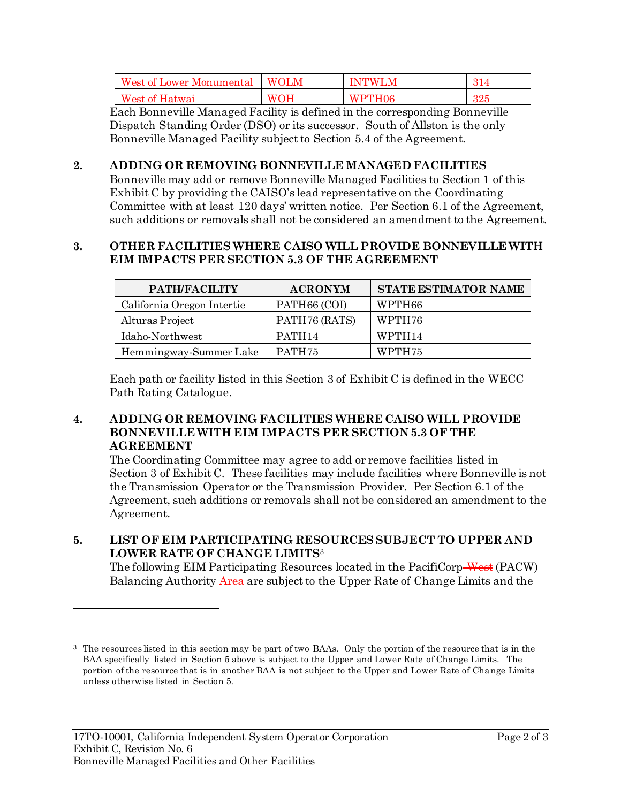| West of Lower Monumental | <b>WOLM</b> | M<br>INTWI | . 4 |
|--------------------------|-------------|------------|-----|
| West of Hatwai           | ЭH          | PTH06      | 991 |
|                          | w           | W          | 24. |

Each Bonneville Managed Facility is defined in the corresponding Bonneville Dispatch Standing Order (DSO) or its successor. South of Allston is the only Bonneville Managed Facility subject to Section 5.4 of the Agreement.

## **2. ADDING OR REMOVING BONNEVILLE MANAGED FACILITIES**

Bonneville may add or remove Bonneville Managed Facilities to Section 1 of this Exhibit C by providing the CAISO's lead representative on the Coordinating Committee with at least 120 days' written notice. Per Section 6.1 of the Agreement, such additions or removals shall not be considered an amendment to the Agreement.

#### **3. OTHER FACILITIES WHERE CAISO WILL PROVIDE BONNEVILLE WITH EIM IMPACTS PER SECTION 5.3 OF THE AGREEMENT**

| PATH/FACILITY              | <b>ACRONYM</b>     | <b>STATE ESTIMATOR NAME</b> |
|----------------------------|--------------------|-----------------------------|
| California Oregon Intertie | PATH66 (COI)       | WPTH66                      |
| Alturas Project            | PATH76 (RATS)      | WPTH76                      |
| Idaho-Northwest            | PATH <sub>14</sub> | WPTH <sub>14</sub>          |
| Hemmingway-Summer Lake     | PATH75             | WPTH75                      |

Each path or facility listed in this Section 3 of Exhibit C is defined in the WECC Path Rating Catalogue.

#### **4. ADDING OR REMOVING FACILITIES WHERE CAISO WILL PROVIDE BONNEVILLE WITH EIM IMPACTS PER SECTION 5.3 OF THE AGREEMENT**

The Coordinating Committee may agree to add or remove facilities listed in Section 3 of Exhibit C. These facilities may include facilities where Bonneville is not the Transmission Operator or the Transmission Provider. Per Section 6.1 of the Agreement, such additions or removals shall not be considered an amendment to the Agreement.

# **5. LIST OF EIM PARTICIPATING RESOURCES SUBJECT TO UPPER AND LOWER RATE OF CHANGE LIMITS**<sup>3</sup>

The following EIM Participating Resources located in the PacifiCorp-West (PACW) Balancing Authority Area are subject to the Upper Rate of Change Limits and the

l

<sup>3</sup> The resources listed in this section may be part of two BAAs. Only the portion of the resource that is in the BAA specifically listed in Section 5 above is subject to the Upper and Lower Rate of Change Limits. The portion of the resource that is in another BAA is not subject to the Upper and Lower Rate of Change Limits unless otherwise listed in Section 5.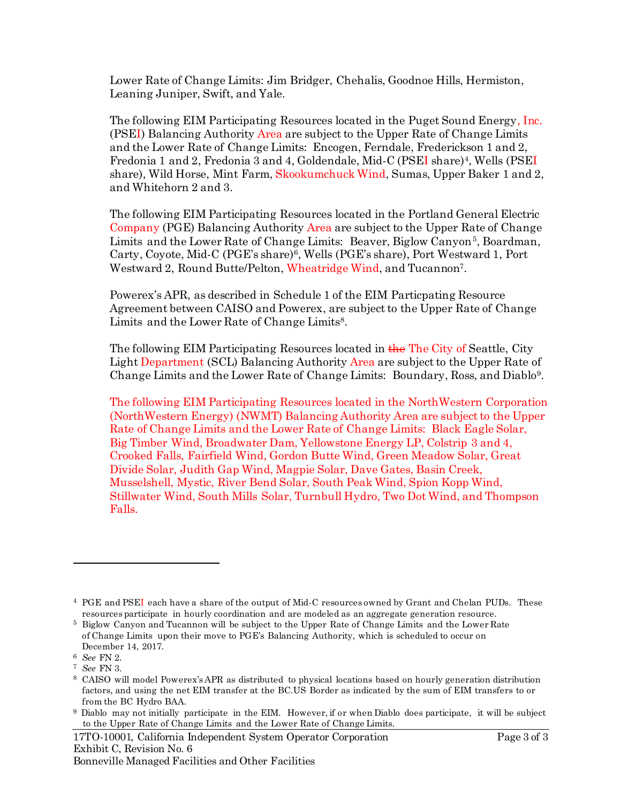Lower Rate of Change Limits: Jim Bridger, Chehalis, Goodnoe Hills, Hermiston, Leaning Juniper, Swift, and Yale.

The following EIM Participating Resources located in the Puget Sound Energy, Inc. (PSEI) Balancing Authority Area are subject to the Upper Rate of Change Limits and the Lower Rate of Change Limits: Encogen, Ferndale, Frederickson 1 and 2, Fredonia 1 and 2, Fredonia 3 and 4, Goldendale, Mid-C (PSEI share)<sup>4</sup>, Wells (PSEI share), Wild Horse, Mint Farm, Skookumchuck Wind, Sumas, Upper Baker 1 and 2, and Whitehorn 2 and 3.

The following EIM Participating Resources located in the Portland General Electric Company (PGE) Balancing Authority Area are subject to the Upper Rate of Change Limits and the Lower Rate of Change Limits: Beaver, Biglow Canyon<sup>5</sup>, Boardman, Carty, Coyote, Mid-C (PGE's share)<sup>6</sup>, Wells (PGE's share), Port Westward 1, Port Westward 2, Round Butte/Pelton, Wheatridge Wind, and Tucannon<sup>7</sup>.

Powerex's APR, as described in Schedule 1 of the EIM Particpating Resource Agreement between CAISO and Powerex, are subject to the Upper Rate of Change Limits and the Lower Rate of Change Limits<sup>8</sup>.

The following EIM Participating Resources located in the The City of Seattle, City Light Department (SCL) Balancing Authority Area are subject to the Upper Rate of Change Limits and the Lower Rate of Change Limits: Boundary, Ross, and Diablo<sup>9</sup> .

The following EIM Participating Resources located in the NorthWestern Corporation (NorthWestern Energy) (NWMT) Balancing Authority Area are subject to the Upper Rate of Change Limits and the Lower Rate of Change Limits: Black Eagle Solar, Big Timber Wind, Broadwater Dam, Yellowstone Energy LP, Colstrip 3 and 4, Crooked Falls, Fairfield Wind, Gordon Butte Wind, Green Meadow Solar, Great Divide Solar, Judith Gap Wind, Magpie Solar, Dave Gates, Basin Creek, Musselshell, Mystic, River Bend Solar, South Peak Wind, Spion Kopp Wind, Stillwater Wind, South Mills Solar, Turnbull Hydro, Two Dot Wind, and Thompson Falls.

l

17TO-10001, California Independent System Operator Corporation Page 3 of 3 Exhibit C, Revision No. 6 Bonneville Managed Facilities and Other Facilities

<sup>4</sup> PGE and PSEI each have a share of the output of Mid-C resources owned by Grant and Chelan PUDs. These resources participate in hourly coordination and are modeled as an aggregate generation resource.

<sup>5</sup> Biglow Canyon and Tucannon will be subject to the Upper Rate of Change Limits and the Lower Rate of Change Limits upon their move to PGE's Balancing Authority, which is scheduled to occur on December 14, 2017.

<sup>6</sup> *See* FN 2.

<sup>7</sup> *See* FN 3.

<sup>8</sup> CAISO will model Powerex's APR as distributed to physical locations based on hourly generation distribution factors, and using the net EIM transfer at the BC.US Border as indicated by the sum of EIM transfers to or from the BC Hydro BAA.

<sup>9</sup> Diablo may not initially participate in the EIM. However, if or when Diablo does participate, it will be subject to the Upper Rate of Change Limits and the Lower Rate of Change Limits.